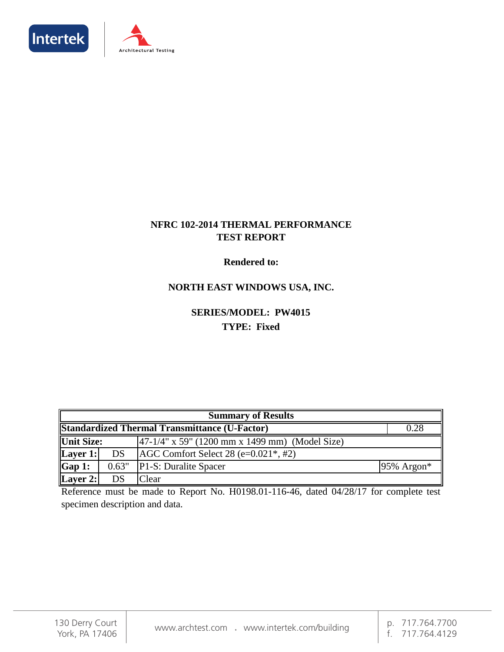



#### **NFRC 102-2014 THERMAL PERFORMANCE TEST REPORT**

#### **Rendered to:**

### **NORTH EAST WINDOWS USA, INC.**

### **SERIES/MODEL: PW4015 TYPE: Fixed**

| <b>Summary of Results</b> |                                                              |                                                        |               |  |  |  |
|---------------------------|--------------------------------------------------------------|--------------------------------------------------------|---------------|--|--|--|
|                           | <b>Standardized Thermal Transmittance (U-Factor)</b><br>0.28 |                                                        |               |  |  |  |
| <b>Unit Size:</b>         |                                                              | $[47-1/4"$ x 59" (1200 mm x 1499 mm) (Model Size)      |               |  |  |  |
| Layer 1:                  | <b>DS</b>                                                    | $AGC$ Comfort Select 28 (e= $0.021$ <sup>*</sup> , #2) |               |  |  |  |
| Gap 1:                    | 0.63"                                                        | P1-S: Duralite Spacer                                  | $95\%$ Argon* |  |  |  |
| Layer 2:                  | DS                                                           | Clear                                                  |               |  |  |  |

Reference must be made to Report No. H0198.01-116-46, dated 04/28/17 for complete test specimen description and data.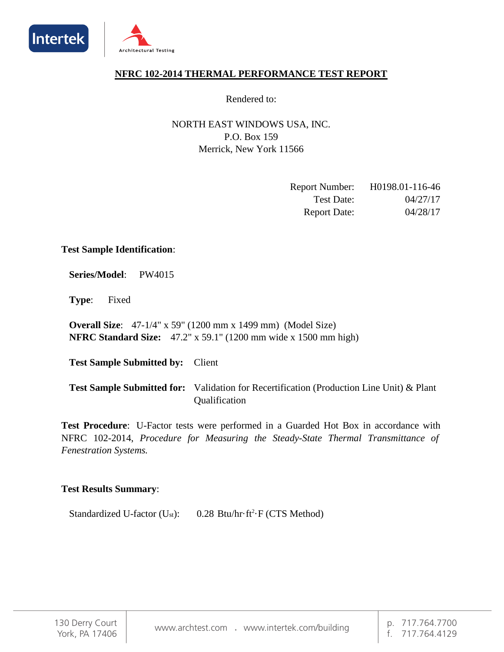



#### **NFRC 102-2014 THERMAL PERFORMANCE TEST REPORT**

Rendered to:

NORTH EAST WINDOWS USA, INC. Merrick, New York 11566 P.O. Box 159

| <b>Report Number:</b> | H0198.01-116-46 |
|-----------------------|-----------------|
| Test Date:            | 04/27/17        |
| <b>Report Date:</b>   | 04/28/17        |

#### **Test Sample Identification**:

**Series/Model**: PW4015

**Type**: Fixed

**Overall Size**: 47-1/4" x 59" (1200 mm x 1499 mm) (Model Size) **NFRC Standard Size:** 47.2" x 59.1" (1200 mm wide x 1500 mm high)

Test Sample Submitted by: Client

Test Sample Submitted for: Validation for Recertification (Production Line Unit) & Plant Qualification

**Test Procedure**: U-Factor tests were performed in a Guarded Hot Box in accordance with NFRC 102-2014, *Procedure for Measuring the Steady-State Thermal Transmittance of Fenestration Systems.*

#### **Test Results Summary**:

Standardized U-factor (U<sub>st</sub>):  $0.28 \text{ Btu/hr·ft}^2 \cdot F \text{ (CTS Method)}$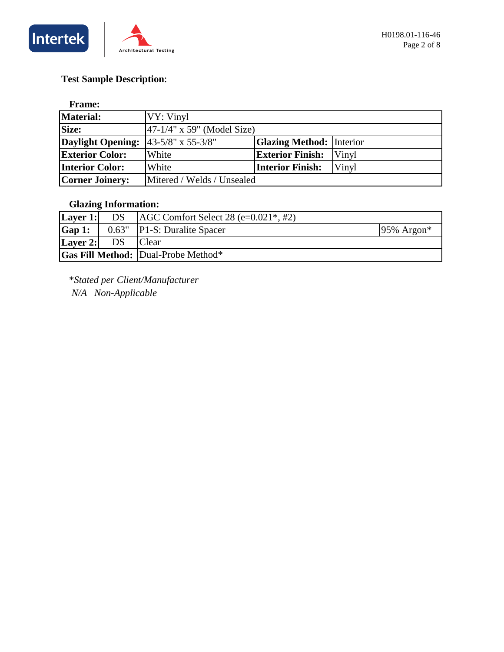

### **Test Sample Description**:

#### **Frame:**

| Material:                | <b>VY: Vinyl</b>                                          |                         |              |  |  |
|--------------------------|-----------------------------------------------------------|-------------------------|--------------|--|--|
| Size:                    | $ 47-1/4" \times 59"$ (Model Size)                        |                         |              |  |  |
| <b>Daylight Opening:</b> | <b>Glazing Method:</b> Interior<br>$43 - 5/8$ " x 55-3/8" |                         |              |  |  |
| <b>Exterior Color:</b>   | White                                                     | <b>Exterior Finish:</b> | <b>Vinyl</b> |  |  |
| <b>Interior Color:</b>   | White                                                     | <b>Interior Finish:</b> | Vinyl        |  |  |
| <b>Corner Joinery:</b>   | Mitered / Welds / Unsealed                                |                         |              |  |  |

#### **Glazing Information:**

| Layer 1:             | DS    | $AGC$ Comfort Select 28 (e=0.021 <sup>*</sup> , #2) |                           |
|----------------------|-------|-----------------------------------------------------|---------------------------|
| $\mathbf{Gap}\, 1$ : | 0.63" | <b>P1-S: Duralite Spacer</b>                        | $95\%$ Argon <sup>*</sup> |
| Layer 2:             |       | <b>C</b> lear                                       |                           |
|                      |       | <b>Gas Fill Method: Dual-Probe Method*</b>          |                           |

\**Stated per Client/Manufacturer* 

 *N/A Non-Applicable*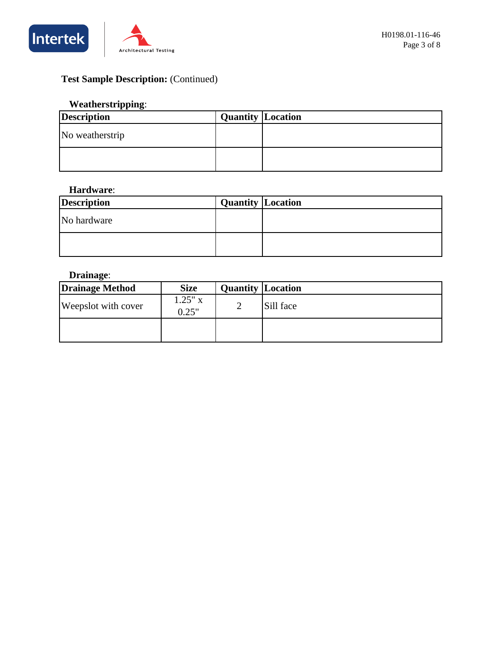



## **Test Sample Description:** (Continued)

#### **Weatherstripping**:

| <b>Description</b> | <b>Quantity Location</b> |  |
|--------------------|--------------------------|--|
| No weatherstrip    |                          |  |
|                    |                          |  |

#### **Hardware**:

| <b>Description</b> | <b>Quantity Location</b> |  |
|--------------------|--------------------------|--|
| No hardware        |                          |  |
|                    |                          |  |

#### **Drainage**:

| <b>Drainage Method</b> | <b>Size</b>        | <b>Quantity Location</b> |           |
|------------------------|--------------------|--------------------------|-----------|
| Weepslot with cover    | $1.25"$ x<br>0.25" | ∸                        | Sill face |
|                        |                    |                          |           |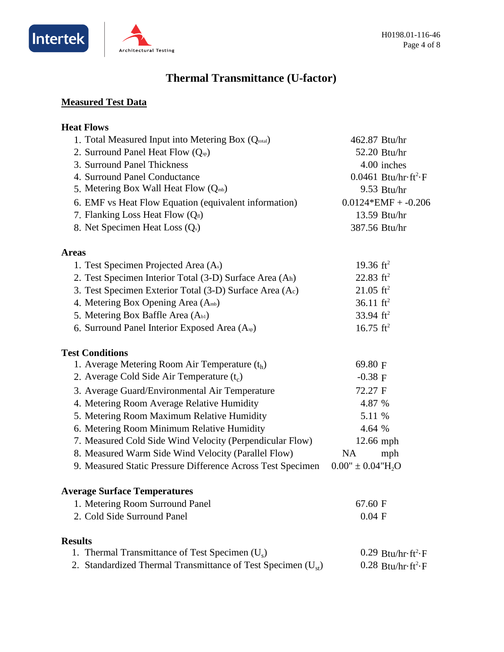



# **Thermal Transmittance (U-factor)**

### **Measured Test Data**

| <b>Heat Flows</b>                                                 |                                                   |
|-------------------------------------------------------------------|---------------------------------------------------|
| 1. Total Measured Input into Metering Box (Qtotal)                | 462.87 Btu/hr                                     |
| 2. Surround Panel Heat Flow $(Qsp)$                               | 52.20 Btu/hr                                      |
| 3. Surround Panel Thickness                                       | 4.00 inches                                       |
| 4. Surround Panel Conductance                                     | $0.0461$ Btu/hr $\cdot$ ft <sup>2</sup> $\cdot$ F |
| 5. Metering Box Wall Heat Flow $(Q_{mb})$                         | $9.53$ Btu/hr                                     |
| 6. EMF vs Heat Flow Equation (equivalent information)             | $0.0124*EMF + -0.206$                             |
| 7. Flanking Loss Heat Flow $(Q_n)$                                | 13.59 Btu/hr                                      |
| 8. Net Specimen Heat Loss (Q <sub>s</sub> )                       | 387.56 Btu/hr                                     |
| <b>Areas</b>                                                      |                                                   |
| 1. Test Specimen Projected Area (As)                              | 19.36 $\mathrm{ft}^2$                             |
| 2. Test Specimen Interior Total (3-D) Surface Area (Ah)           | 22.83 $ft^2$                                      |
| 3. Test Specimen Exterior Total (3-D) Surface Area (Ac)           | $21.05$ ft <sup>2</sup>                           |
| 4. Metering Box Opening Area (Amb)                                | 36.11 $ft^2$                                      |
| 5. Metering Box Baffle Area (Ab1)                                 | 33.94 $ft^2$                                      |
| 6. Surround Panel Interior Exposed Area (A <sub>sp</sub> )        | 16.75 $ft^2$                                      |
| <b>Test Conditions</b>                                            |                                                   |
| 1. Average Metering Room Air Temperature $(t_h)$                  | 69.80 F                                           |
| 2. Average Cold Side Air Temperature $(t_c)$                      | $-0.38$ F                                         |
| 3. Average Guard/Environmental Air Temperature                    | 72.27 F                                           |
| 4. Metering Room Average Relative Humidity                        | 4.87 %                                            |
| 5. Metering Room Maximum Relative Humidity                        | 5.11 %                                            |
| 6. Metering Room Minimum Relative Humidity                        | 4.64 %                                            |
| 7. Measured Cold Side Wind Velocity (Perpendicular Flow)          | 12.66 mph                                         |
| 8. Measured Warm Side Wind Velocity (Parallel Flow)               | <b>NA</b><br>mph                                  |
| 9. Measured Static Pressure Difference Across Test Specimen       | $0.00'' \pm 0.04'' H_2O$                          |
| <b>Average Surface Temperatures</b>                               |                                                   |
| 1. Metering Room Surround Panel                                   | 67.60 F                                           |
| 2. Cold Side Surround Panel                                       | $0.04$ F                                          |
| <b>Results</b>                                                    |                                                   |
| 1. Thermal Transmittance of Test Specimen $(U_s)$                 | $0.29$ Btu/hr·ft <sup>2</sup> ·F                  |
| 2. Standardized Thermal Transmittance of Test Specimen $(U_{st})$ | $0.28$ Btu/hr $\cdot$ ft <sup>2</sup> $\cdot$ F   |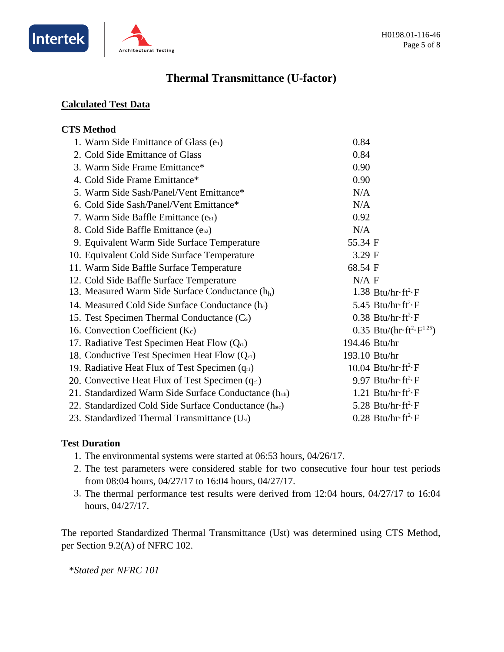



### **Thermal Transmittance (U-factor)**

#### **Calculated Test Data**

#### **CTS Method** 1. Warm Side Emittance of Glass (e1) 2. Cold Side Emittance of Glass 3. Warm Side Frame Emittance\* 4. Cold Side Frame Emittance\* 5. Warm Side Sash/Panel/Vent Emittance\* 6. Cold Side Sash/Panel/Vent Emittance\* 7. Warm Side Baffle Emittance (eb1) 8. Cold Side Baffle Emittance  $(e_{b2})$ 9. Equivalent Warm Side Surface Temperature 10. Equivalent Cold Side Surface Temperature 11. Warm Side Baffle Surface Temperature 12. Cold Side Baffle Surface Temperature 13. Measured Warm Side Surface Conductance (h<sub>h</sub>) 14. Measured Cold Side Surface Conductance  $(h<sub>c</sub>)$ 15. Test Specimen Thermal Conductance (Cs) 16. Convection Coefficient  $(K_c)$ 0.35 Btu/( $\text{hr·ft}^2 \cdot \text{F}^{1.25}$ ) 17. Radiative Test Specimen Heat Flow  $(O_{r1})$ 18. Conductive Test Specimen Heat Flow  $(Q_{c1})$ 19. Radiative Heat Flux of Test Specimen  $(q_{r1})$ 20. Convective Heat Flux of Test Specimen  $(q_{c1})$ 21. Standardized Warm Side Surface Conductance (hsth) 22. Standardized Cold Side Surface Conductance (hstc) 23. Standardized Thermal Transmittance (Ust) 3.29 F  $0.38$  Btu/hr $\cdot$ ft<sup>2</sup> $\cdot$ F  $5.45$  Btu/hr $\cdot$ ft<sup>2</sup> $\cdot$ F 0.92 55.34  $0.28$  Btu/hr $\cdot$ ft<sup>2</sup> $\cdot$ F 5.28 Btu/hr $\cdot$ ft<sup>2</sup> $\cdot$ F  $1.38$  Btu/hr $\cdot$ ft<sup>2</sup> $\cdot$ F 193.10 Btu/hr  $9.97$  Btu/hr $\cdot$ ft<sup>2</sup> $\cdot$ F 0.90  $N/A$  F  $10.04$  Btu/hr $\cdot$ ft<sup>2</sup> $\cdot$ F 0.84 N/A  $1.21$  Btu/hr $\cdot$ ft<sup>2</sup> $\cdot$ F 68.54 194.46 Btu/hr 0.90 0.84  $N/A$ N/A

#### **Test Duration**

- 1. The environmental systems were started at 06:53 hours, 04/26/17.
- 2. The test parameters were considered stable for two consecutive four hour test periods from 08:04 hours, 04/27/17 to 16:04 hours, 04/27/17.
- 3. The thermal performance test results were derived from  $12:04$  hours,  $04/27/17$  to  $16:04$ hours, 04/27/17.

The reported Standardized Thermal Transmittance (Ust) was determined using CTS Method, per Section 9.2(A) of NFRC 102.

\**Stated per NFRC 101*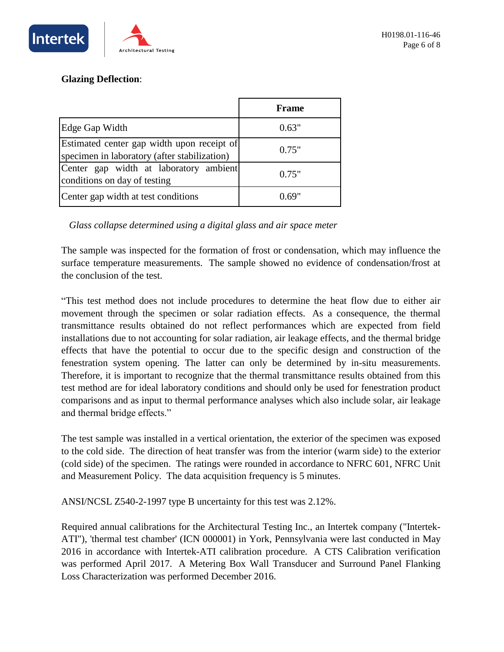

#### **Glazing Deflection**:

|                                                                                            | <b>Frame</b> |
|--------------------------------------------------------------------------------------------|--------------|
| Edge Gap Width                                                                             | 0.63"        |
| Estimated center gap width upon receipt of<br>specimen in laboratory (after stabilization) | 0.75"        |
| Center gap width at laboratory ambient<br>conditions on day of testing                     | 0.75"        |
| Center gap width at test conditions                                                        | () 69.       |

*Glass collapse determined using a digital glass and air space meter*

The sample was inspected for the formation of frost or condensation, which may influence the surface temperature measurements. The sample showed no evidence of condensation/frost at the conclusion of the test.

"This test method does not include procedures to determine the heat flow due to either air movement through the specimen or solar radiation effects. As a consequence, the thermal transmittance results obtained do not reflect performances which are expected from field installations due to not accounting for solar radiation, air leakage effects, and the thermal bridge effects that have the potential to occur due to the specific design and construction of the fenestration system opening. The latter can only be determined by in-situ measurements. Therefore, it is important to recognize that the thermal transmittance results obtained from this test method are for ideal laboratory conditions and should only be used for fenestration product comparisons and as input to thermal performance analyses which also include solar, air leakage and thermal bridge effects."

The test sample was installed in a vertical orientation, the exterior of the specimen was exposed to the cold side. The direction of heat transfer was from the interior (warm side) to the exterior (cold side) of the specimen. The ratings were rounded in accordance to NFRC 601, NFRC Unit and Measurement Policy. The data acquisition frequency is 5 minutes.

ANSI/NCSL Z540-2-1997 type B uncertainty for this test was 2.12%.

Required annual calibrations for the Architectural Testing Inc., an Intertek company ("Intertek-ATI"), 'thermal test chamber' (ICN 000001) in York, Pennsylvania were last conducted in May 2016 in accordance with Intertek-ATI calibration procedure. A CTS Calibration verification was performed April 2017. A Metering Box Wall Transducer and Surround Panel Flanking Loss Characterization was performed December 2016.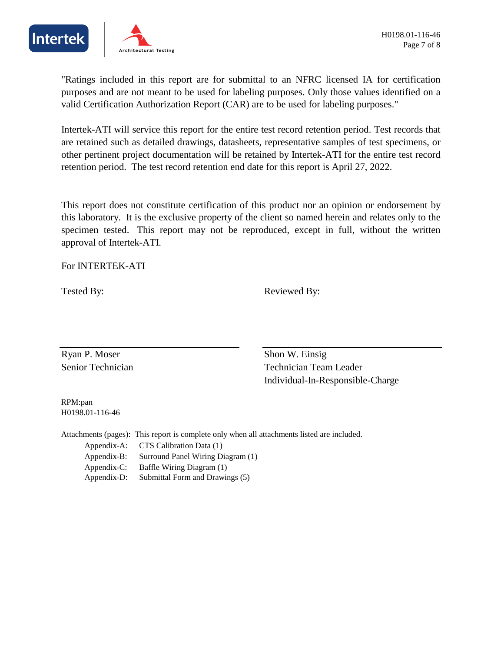



"Ratings included in this report are for submittal to an NFRC licensed IA for certification purposes and are not meant to be used for labeling purposes. Only those values identified on a valid Certification Authorization Report (CAR) are to be used for labeling purposes."

Intertek-ATI will service this report for the entire test record retention period. Test records that are retained such as detailed drawings, datasheets, representative samples of test specimens, or other pertinent project documentation will be retained by Intertek-ATI for the entire test record retention period. The test record retention end date for this report is April 27, 2022.

This report does not constitute certification of this product nor an opinion or endorsement by this laboratory. It is the exclusive property of the client so named herein and relates only to the specimen tested. This report may not be reproduced, except in full, without the written approval of Intertek-ATI.

For INTERTEK-ATI

Tested By: Reviewed By:

Ryan P. Moser Shon W. Einsig

Senior Technician Team Leader Individual-In-Responsible-Charge

RPM:pan H0198.01-116-46

Attachments (pages): This report is complete only when all attachments listed are included. Submittal Form and Drawings (5) Appendix-C: Baffle Wiring Diagram (1) Appendix-D: Surround Panel Wiring Diagram (1) Appendix-A: CTS Calibration Data (1) Appendix-B: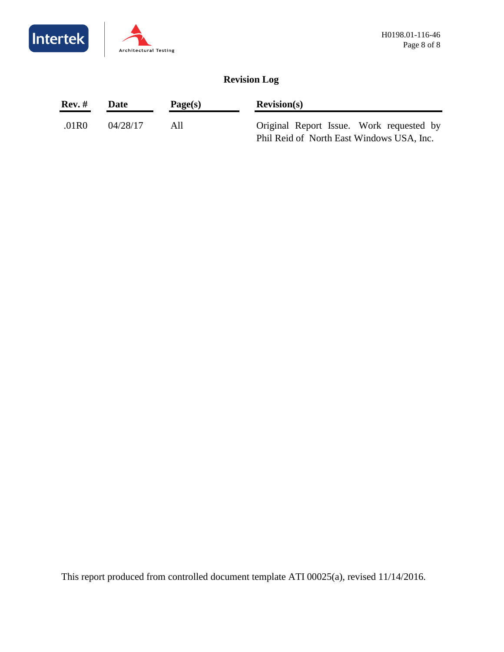



### **Revision Log**

| Rev. # | Date     | Page(s) | Revision(s)                                                                           |  |  |
|--------|----------|---------|---------------------------------------------------------------------------------------|--|--|
| .01R0  | 04/28/17 | AII     | Original Report Issue. Work requested by<br>Phil Reid of North East Windows USA, Inc. |  |  |

This report produced from controlled document template ATI 00025(a), revised 11/14/2016.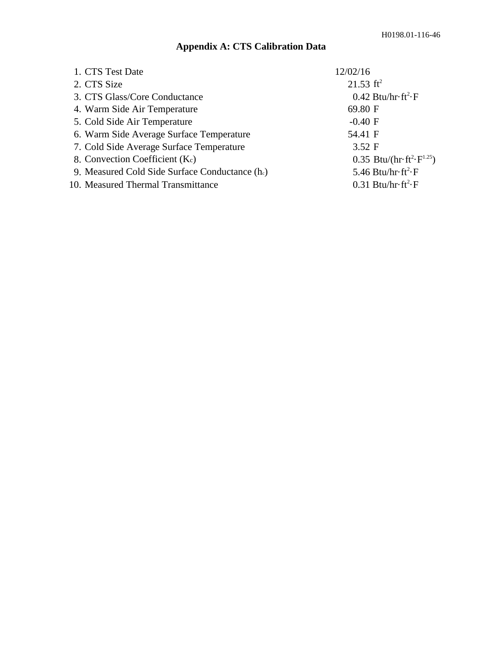## **Appendix A: CTS Calibration Data**

| 1. CTS Test Date                                  | 12/02/16                                                         |
|---------------------------------------------------|------------------------------------------------------------------|
| 2. CTS Size                                       | 21.53 $\text{ft}^2$                                              |
| 3. CTS Glass/Core Conductance                     | $0.42$ Btu/hr $\cdot$ ft <sup>2</sup> $\cdot$ F                  |
| 4. Warm Side Air Temperature                      | 69.80 F                                                          |
| 5. Cold Side Air Temperature                      | $-0.40$ F                                                        |
| 6. Warm Side Average Surface Temperature          | 54.41 F                                                          |
| 7. Cold Side Average Surface Temperature          | 3.52 F                                                           |
| 8. Convection Coefficient (Kc)                    | 0.35 Btu/(hr $\cdot$ ft <sup>2</sup> $\cdot$ F <sup>1.25</sup> ) |
| 9. Measured Cold Side Surface Conductance $(h_c)$ | 5.46 Btu/hr $\cdot$ ft <sup>2</sup> $\cdot$ F                    |
| 10. Measured Thermal Transmittance                | $0.31$ Btu/hr $\cdot$ ft <sup>2</sup> $\cdot$ F                  |
|                                                   |                                                                  |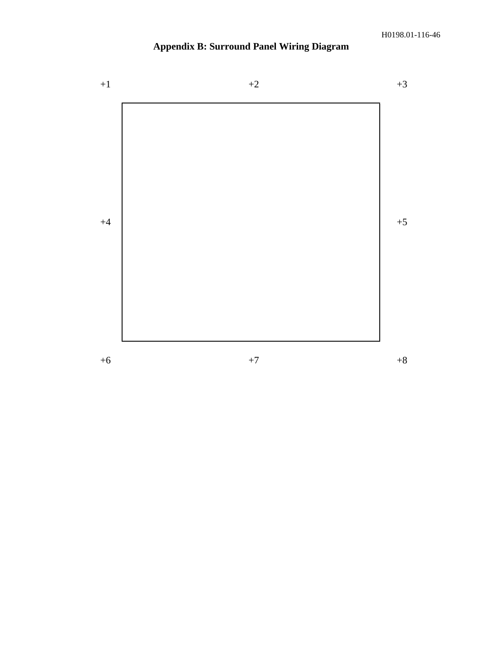# **Appendix B: Surround Panel Wiring Diagram**

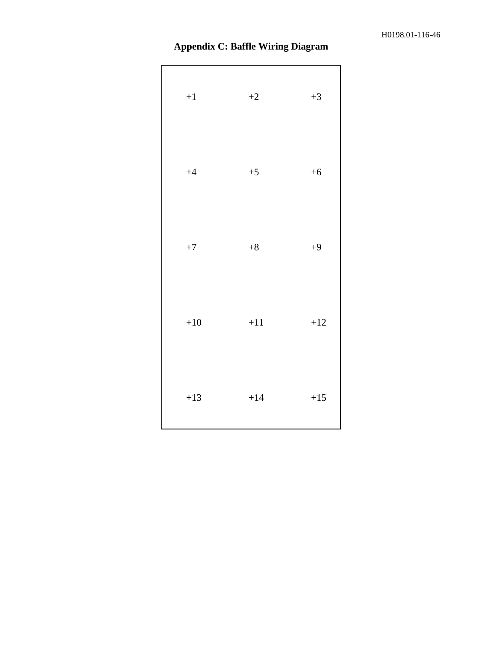| <b>Appendix C: Baffle Wiring Diagram</b> |  |  |  |  |
|------------------------------------------|--|--|--|--|
|------------------------------------------|--|--|--|--|

| $\bf{+1}$ | $+2$    | $+3$  |
|-----------|---------|-------|
| $+4$      | $+5$    | $+6$  |
| $\rm +7$  | $+8$    | $+9$  |
| $+10$     | $+11$   | $+12$ |
| $+13$     | $+14\,$ | $+15$ |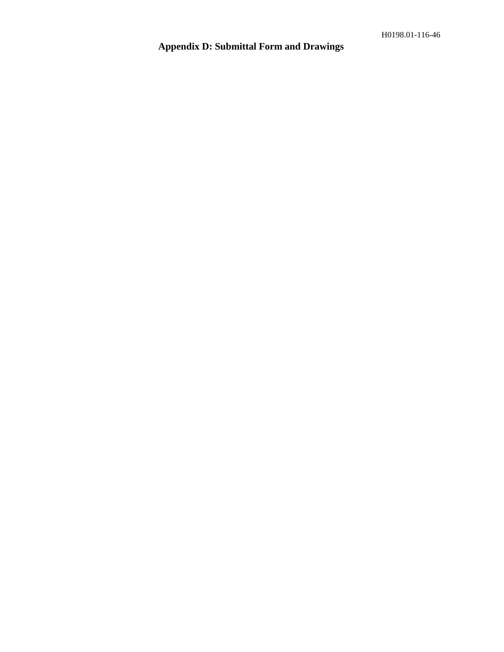# **Appendix D: Submittal Form and Drawings**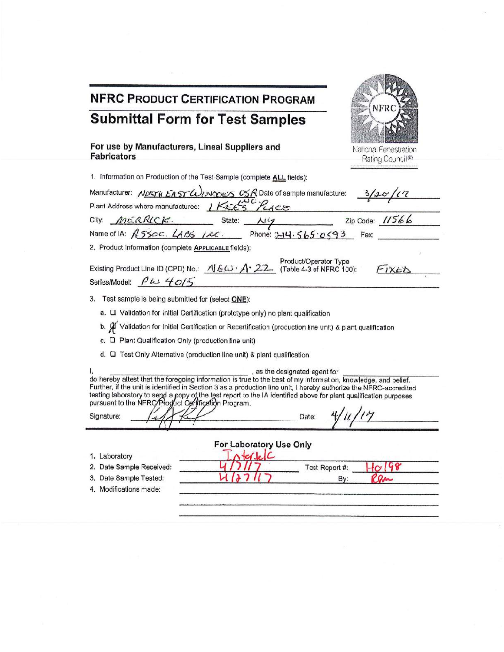| <b>NFRC PRODUCT CERTIFICATION PROGRAM</b>                                                                                                                                                                                                                                                                                                                                                                                                                                                             |                                          |
|-------------------------------------------------------------------------------------------------------------------------------------------------------------------------------------------------------------------------------------------------------------------------------------------------------------------------------------------------------------------------------------------------------------------------------------------------------------------------------------------------------|------------------------------------------|
| <b>Submittal Form for Test Samples</b>                                                                                                                                                                                                                                                                                                                                                                                                                                                                | NFRC                                     |
|                                                                                                                                                                                                                                                                                                                                                                                                                                                                                                       |                                          |
| For use by Manufacturers, Lineal Suppliers and<br><b>Fabricators</b>                                                                                                                                                                                                                                                                                                                                                                                                                                  | National Fenestration<br>Rating Council® |
| 1. Information on Production of the Test Sample (complete ALL fields):                                                                                                                                                                                                                                                                                                                                                                                                                                |                                          |
| Manufacturer: NORTH EAST WINDES USA Date of sample manufacture: 3/20/17<br>Plant Address where manufactured: IKEE'S PLACE                                                                                                                                                                                                                                                                                                                                                                             |                                          |
| City: <u>MERRICK</u> State: $\frac{\lambda v}{\lambda}$ Zip Code: 11566<br>Name of IA: R550C. LABS 1.0C. Phone: 214.565.0593 Fax:                                                                                                                                                                                                                                                                                                                                                                     |                                          |
|                                                                                                                                                                                                                                                                                                                                                                                                                                                                                                       |                                          |
| 2. Product Information (complete APPLICABLE fields):                                                                                                                                                                                                                                                                                                                                                                                                                                                  |                                          |
| Product/Operator Type<br>Existing Product Line ID (CPD) No.: $\sqrt{E\omega}$ / $\sqrt{22}$ (Table 4-3 of NFRC 100):<br>Series/Model: $\int \omega$ 40/5                                                                                                                                                                                                                                                                                                                                              | FIXED                                    |
| 3.<br>Test sample is being submitted for (select ONE):                                                                                                                                                                                                                                                                                                                                                                                                                                                |                                          |
| a. Q Validation for initial Certification (prototype only) no plant qualification                                                                                                                                                                                                                                                                                                                                                                                                                     |                                          |
| b. $\beta$ Validation for Initial Certification or Recertification (production line unit) & plant qualification                                                                                                                                                                                                                                                                                                                                                                                       |                                          |
| c. Q Plant Qualification Only (production line unit)                                                                                                                                                                                                                                                                                                                                                                                                                                                  |                                          |
| d. C Test Only Alternative (production line unit) & plant qualification                                                                                                                                                                                                                                                                                                                                                                                                                               |                                          |
| , as the designated agent for<br>I, as the designated agent for<br>do hereby attest that the foregoing information is true to the best of my information, knowledge, and belief.<br>Further, if the unit is identified in Section 3 as a production line unit, I hereby authorize the NFRC-accredited<br>testing laboratory to send a copy of the test report to the IA identified above for plant qualification purposes pursuant to the NFRC/Progluct Certification Program.<br>Signature:<br>Date: |                                          |
| For Laboratory Use Only                                                                                                                                                                                                                                                                                                                                                                                                                                                                               |                                          |
| relc<br>1. Laboratory                                                                                                                                                                                                                                                                                                                                                                                                                                                                                 |                                          |
| Date Sample Received:<br>2.                                                                                                                                                                                                                                                                                                                                                                                                                                                                           | 10198<br>Test Report #:                  |
| Date Sample Tested:                                                                                                                                                                                                                                                                                                                                                                                                                                                                                   | Ren<br>By:                               |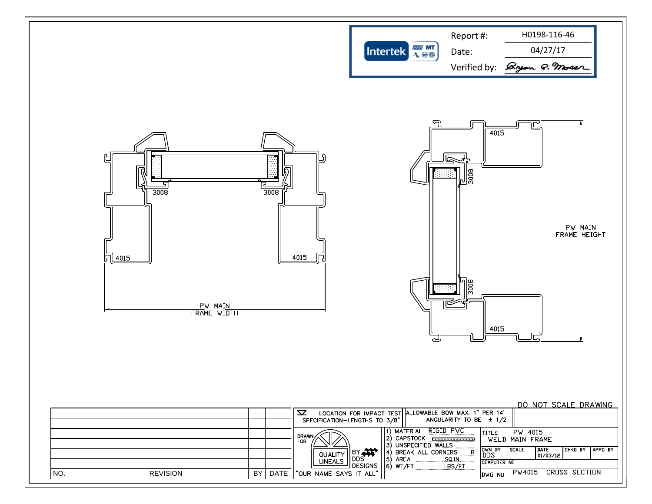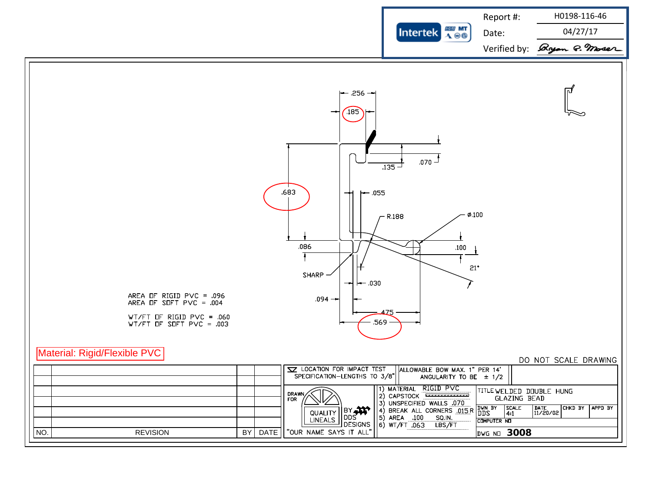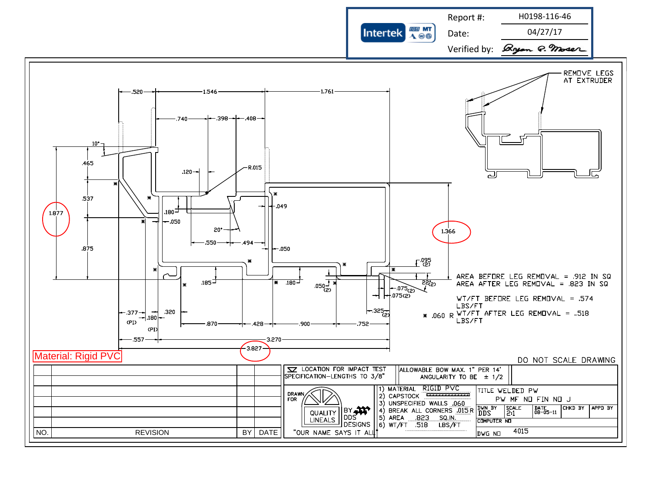